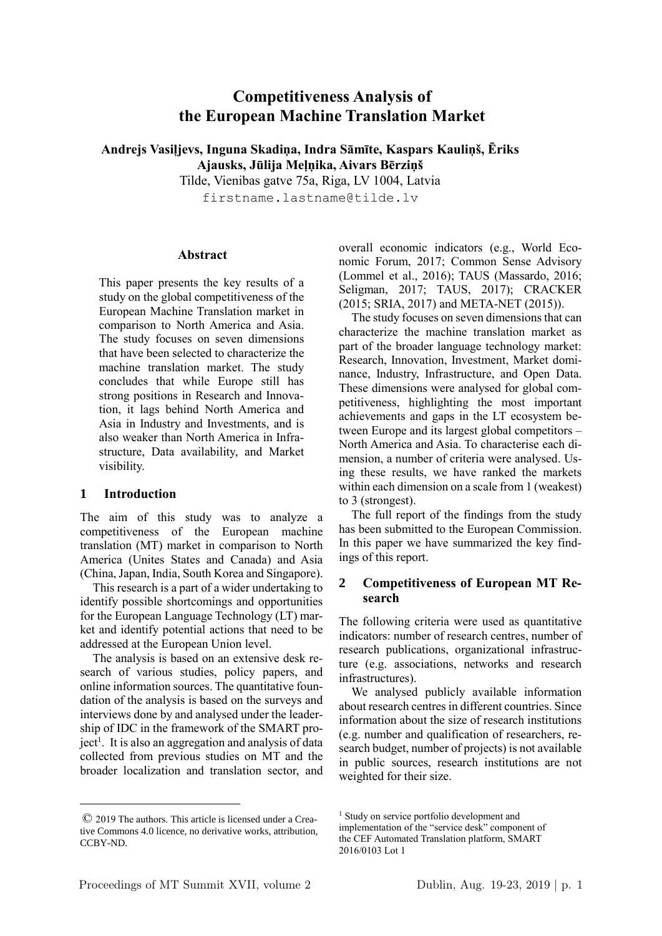# **Competitiveness Analysis of the European Machine Translation Market**

**Andrejs Vasiļjevs, Inguna Skadiņa, Indra Sāmīte, Kaspars Kauliņš, Ēriks Ajausks, Jūlija Meļņika, Aivars Bērziņš**

Tilde, Vienibas gatve 75a, Riga, LV 1004, Latvia

firstname.lastname@tilde.lv

#### **Abstract**

This paper presents the key results of a study on the global competitiveness of the European Machine Translation market in comparison to North America and Asia. The study focuses on seven dimensions that have been selected to characterize the machine translation market. The study concludes that while Europe still has strong positions in Research and Innovation, it lags behind North America and Asia in Industry and Investments, and is also weaker than North America in Infrastructure, Data availability, and Market visibility.

## **1 Introduction**

<u>.</u>

The aim of this study was to analyze a competitiveness of the European machine translation (MT) market in comparison to North America (Unites States and Canada) and Asia (China, Japan, India, South Korea and Singapore).

This research is a part of a wider undertaking to identify possible shortcomings and opportunities for the European Language Technology (LT) market and identify potential actions that need to be addressed at the European Union level.

The analysis is based on an extensive desk research of various studies, policy papers, and online information sources. The quantitative foundation of the analysis is based on the surveys and interviews done by and analysed under the leadership of IDC in the framework of the SMART project<sup>1</sup>. It is also an aggregation and analysis of data collected from previous studies on MT and the broader localization and translation sector, and

overall economic indicators (e.g., World Economic Forum, 2017; Common Sense Advisory (Lommel et al., 2016); TAUS (Massardo, 2016; Seligman, 2017; TAUS, 2017); CRACKER (2015; SRIA, 2017) and META-NET (2015)).

The study focuses on seven dimensions that can characterize the machine translation market as part of the broader language technology market: Research, Innovation, Investment, Market dominance, Industry, Infrastructure, and Open Data. These dimensions were analysed for global competitiveness, highlighting the most important achievements and gaps in the LT ecosystem between Europe and its largest global competitors – North America and Asia. To characterise each dimension, a number of criteria were analysed. Using these results, we have ranked the markets within each dimension on a scale from 1 (weakest) to 3 (strongest).

The full report of the findings from the study has been submitted to the European Commission. In this paper we have summarized the key findings of this report.

## **2 Competitiveness of European MT Research**

The following criteria were used as quantitative indicators: number of research centres, number of research publications, organizational infrastructure (e.g. associations, networks and research infrastructures).

We analysed publicly available information about research centres in different countries. Since information about the size of research institutions (e.g. number and qualification of researchers, research budget, number of projects) is not available in public sources, research institutions are not weighted for their size.

<sup>©</sup> 2019 The authors. This article is licensed under a Creative Commons 4.0 licence, no derivative works, attribution, CCBY-ND.

<sup>&</sup>lt;sup>1</sup> Study on service portfolio development and implementation of the "service desk" component of the CEF Automated Translation platform, SMART 2016/0103 Lot 1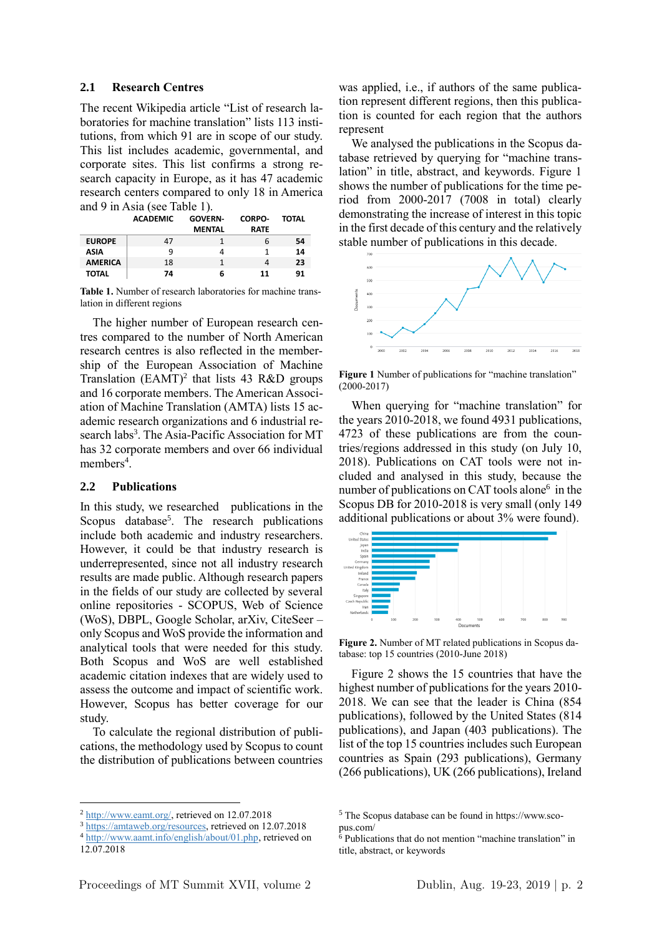#### **2.1 Research Centres**

The recent Wikipedia article "List of research laboratories for machine translation" lists 113 institutions, from which 91 are in scope of our study. This list includes academic, governmental, and corporate sites. This list confirms a strong research capacity in Europe, as it has 47 academic research centers compared to only 18 in America and 9 in Asia (see Table 1).

|                | <b>ACADEMIC</b> | <b>GOVERN</b> | <b>CORPO-</b> | TOTAL |
|----------------|-----------------|---------------|---------------|-------|
|                |                 | <b>MENTAL</b> | <b>RATE</b>   |       |
| <b>EUROPE</b>  | 47              |               | 6             | 54    |
| <b>ASIA</b>    | q               |               |               | 14    |
| <b>AMERICA</b> | 18              |               | 4             | 23    |
| <b>TOTAL</b>   | 74              | 6             | 11            | 91    |

**Table 1.** Number of research laboratories for machine translation in different regions

The higher number of European research centres compared to the number of North American research centres is also reflected in the membership of the European Association of Machine Translation  $(EAMT)^2$  that lists 43 R&D groups and 16 corporate members. The American Association of Machine Translation (AMTA) lists 15 academic research organizations and 6 industrial research labs<sup>3</sup>. The Asia-Pacific Association for MT has 32 corporate members and over 66 individual members<sup>4</sup>.

#### **2.2 Publications**

In this study, we researched publications in the Scopus database<sup>5</sup>. The research publications include both academic and industry researchers. However, it could be that industry research is underrepresented, since not all industry research results are made public. Although research papers in the fields of our study are collected by several online repositories - SCOPUS, Web of Science (WoS), DBPL, Google Scholar, arXiv, CiteSeer – only Scopus and WoS provide the information and analytical tools that were needed for this study. Both Scopus and WoS are well established academic citation indexes that are widely used to assess the outcome and impact of scientific work. However, Scopus has better coverage for our study.

To calculate the regional distribution of publications, the methodology used by Scopus to count the distribution of publications between countries

1

was applied, i.e., if authors of the same publication represent different regions, then this publication is counted for each region that the authors represent

We analysed the publications in the Scopus database retrieved by querying for "machine translation" in title, abstract, and keywords. Figure 1 shows the number of publications for the time period from 2000-2017 (7008 in total) clearly demonstrating the increase of interest in this topic in the first decade of this century and the relatively stable number of publications in this decade.



**Figure 1** Number of publications for "machine translation" (2000-2017)

When querying for "machine translation" for the years 2010-2018, we found 4931 publications, 4723 of these publications are from the countries/regions addressed in this study (on July 10, 2018). Publications on CAT tools were not included and analysed in this study, because the number of publications on CAT tools alone<sup>6</sup> in the Scopus DB for 2010-2018 is very small (only 149 additional publications or about 3% were found).



**Figure 2.** Number of MT related publications in Scopus database: top 15 countries (2010-June 2018)

Figure 2 shows the 15 countries that have the highest number of publications for the years 2010- 2018. We can see that the leader is China (854 publications), followed by the United States (814 publications), and Japan (403 publications). The list of the top 15 countries includes such European countries as Spain (293 publications), Germany (266 publications), UK (266 publications), Ireland

<sup>2</sup> http://www.eamt.org/, retrieved on 12.07.2018

<sup>&</sup>lt;sup>3</sup> https://amtaweb.org/resources, retrieved on 12.07.2018

<sup>4</sup> http://www.aamt.info/english/about/01.php, retrieved on 12.07.2018

<sup>5</sup> The Scopus database can be found in https://www.scopus.com/

<sup>6</sup> Publications that do not mention "machine translation" in title, abstract, or keywords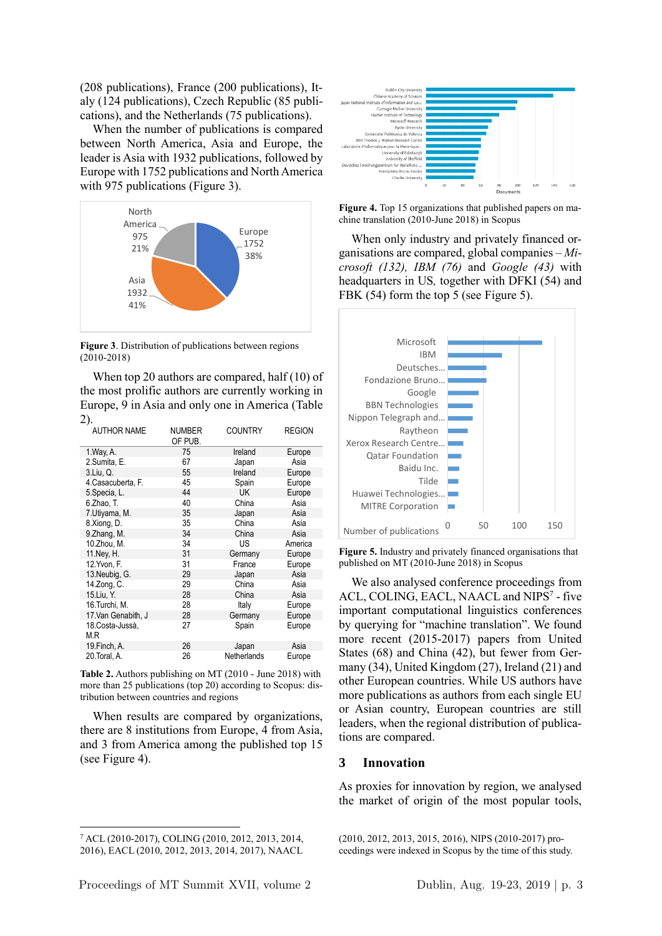(208 publications), France (200 publications), Italy (124 publications), Czech Republic (85 publications), and the Netherlands (75 publications).

When the number of publications is compared between North America, Asia and Europe, the leader is Asia with 1932 publications, followed by Europe with 1752 publications and North America with 975 publications (Figure 3).



**Figure 3**. Distribution of publications between regions (2010-2018)

When top 20 authors are compared, half (10) of the most prolific authors are currently working in Europe, 9 in Asia and only one in America (Table 2).

| <b>AUTHOR NAME</b>  | <b>NUMBER</b><br>OF PUB. | <b>COUNTRY</b> | <b>REGION</b> |
|---------------------|--------------------------|----------------|---------------|
| 1. Way, A.          | 75                       | Ireland        | Europe        |
| 2.Sumita, E.        | 67                       | Japan          | Asia          |
| 3.Liu, Q.           | 55                       | Ireland        | Europe        |
| 4. Casacuberta, F.  | 45                       | Spain          | Europe        |
| 5. Specia, L.       | 44                       | UK.            | Europe        |
| 6.Zhao, T.          | 40                       | China          | Asia          |
| 7. Utiyama, M.      | 35                       | Japan          | Asia          |
| 8.Xiong, D.         | 35                       | China          | Asia          |
| 9.Zhang, M.         | 34                       | China          | Asia          |
| 10.Zhou, M.         | 34                       | US             | America       |
| 11. Ney, H.         | 31                       | Germany        | Europe        |
| 12. Yvon, F.        | 31                       | France         | Europe        |
| 13. Neubig, G.      | 29                       | Japan          | Asia          |
| 14.Zong, C.         | 29                       | China          | Asia          |
| 15.Liu, Y.          | 28                       | China          | Asia          |
| 16.Turchi, M.       | 28                       | Italy          | Europe        |
| 17. Van Genabith, J | 28                       | Germany        | Europe        |
| 18. Costa-Jussà,    | 27                       | Spain          | Europe        |
| M.R                 |                          |                |               |
| 19. Finch, A.       | 26                       | Japan          | Asia          |
| 20. Toral, A.       | 26                       | Netherlands    | Europe        |

**Table 2.** Authors publishing on MT (2010 - June 2018) with more than 25 publications (top 20) according to Scopus: distribution between countries and regions

When results are compared by organizations, there are 8 institutions from Europe, 4 from Asia, and 3 from America among the published top 15 (see Figure 4).

<u>.</u>



**Figure 4.** Top 15 organizations that published papers on machine translation (2010-June 2018) in Scopus

When only industry and privately financed organisations are compared, global companies – *Microsoft (132), IBM (76)* and *Google (43)* with headquarters in US*,* together with DFKI (54) and FBK (54) form the top 5 (see Figure 5).



**Figure 5.** Industry and privately financed organisations that published on MT (2010-June 2018) in Scopus

We also analysed conference proceedings from ACL, COLING, EACL, NAACL and NIPS<sup>7</sup> - five important computational linguistics conferences by querying for "machine translation". We found more recent (2015-2017) papers from United States (68) and China (42), but fewer from Germany (34), United Kingdom (27), Ireland (21) and other European countries. While US authors have more publications as authors from each single EU or Asian country, European countries are still leaders, when the regional distribution of publications are compared.

#### **3 Innovation**

As proxies for innovation by region, we analysed the market of origin of the most popular tools,

(2010, 2012, 2013, 2015, 2016), NIPS (2010-2017) proceedings were indexed in Scopus by the time of this study.

<sup>7</sup> ACL (2010-2017), COLING (2010, 2012, 2013, 2014, 2016), EACL (2010, 2012, 2013, 2014, 2017), NAACL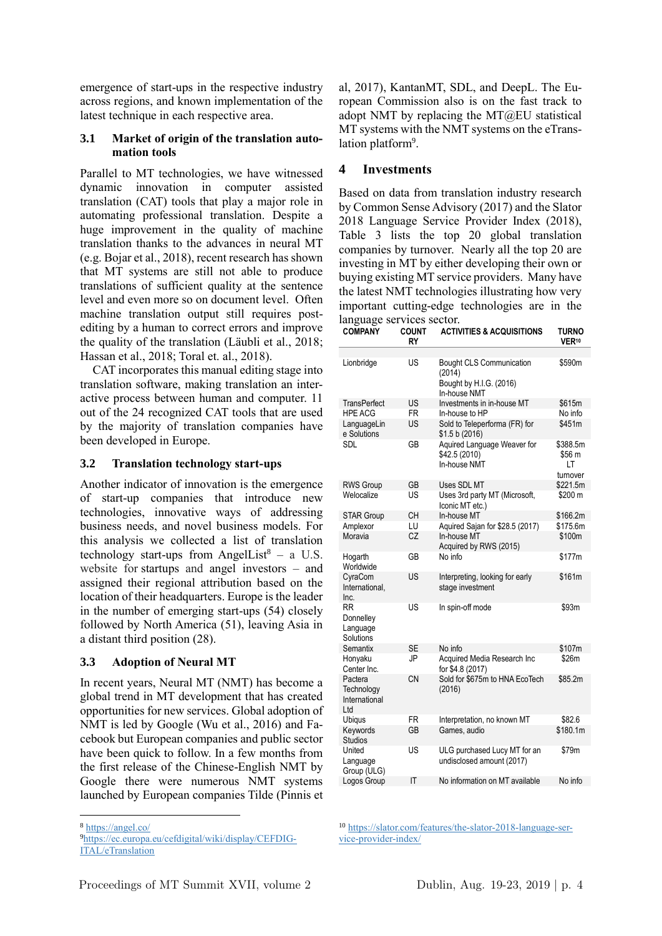emergence of start-ups in the respective industry across regions, and known implementation of the latest technique in each respective area.

## **3.1 Market of origin of the translation automation tools**

Parallel to MT technologies, we have witnessed dynamic innovation in computer assisted translation (CAT) tools that play a major role in automating professional translation. Despite a huge improvement in the quality of machine translation thanks to the advances in neural MT (e.g. Bojar et al., 2018), recent research has shown that MT systems are still not able to produce translations of sufficient quality at the sentence level and even more so on document level. Often machine translation output still requires postediting by a human to correct errors and improve the quality of the translation (Läubli et al., 2018; Hassan et al., 2018; Toral et. al., 2018).

CAT incorporates this manual editing stage into translation software, making translation an interactive process between human and computer. 11 out of the 24 recognized CAT tools that are used by the majority of translation companies have been developed in Europe.

## **3.2 Translation technology start-ups**

Another indicator of innovation is the emergence of start-up companies that introduce new technologies, innovative ways of addressing business needs, and novel business models. For this analysis we collected a list of translation technology start-ups from AngelList<sup>8</sup> – a U.S. website for startups and angel investors – and assigned their regional attribution based on the location of their headquarters. Europe is the leader in the number of emerging start-ups (54) closely followed by North America (51), leaving Asia in a distant third position (28).

## **3.3 Adoption of Neural MT**

In recent years, Neural MT (NMT) has become a global trend in MT development that has created opportunities for new services. Global adoption of NMT is led by Google (Wu et al., 2016) and Facebook but European companies and public sector have been quick to follow. In a few months from the first release of the Chinese-English NMT by Google there were numerous NMT systems launched by European companies Tilde (Pinnis et

1

al, 2017), KantanMT, SDL, and DeepL. The European Commission also is on the fast track to adopt NMT by replacing the MT@EU statistical MT systems with the NMT systems on the eTranslation platform<sup>9</sup>.

## **4 Investments**

Based on data from translation industry research by Common Sense Advisory (2017) and the Slator 2018 Language Service Provider Index (2018), Table 3 lists the top 20 global translation companies by turnover. Nearly all the top 20 are investing in MT by either developing their own or buying existing MT service providers. Many have the latest NMT technologies illustrating how very important cutting-edge technologies are in the language services sector. **COMPANY COUNT ACTIVITIES & ACQUISITIONS TURNO**

| UMIFAN I                                      | <b>UUUNI</b><br>RY | AU IIVIIIEJ & AUUUIJIIIUNJ                                           | טאוזט<br>VER <sup>10</sup>           |
|-----------------------------------------------|--------------------|----------------------------------------------------------------------|--------------------------------------|
|                                               |                    |                                                                      |                                      |
| Lionbridge                                    | US                 | <b>Bought CLS Communication</b><br>(2014)<br>Bought by H.I.G. (2016) | \$590m                               |
|                                               |                    | In-house NMT                                                         |                                      |
| TransPerfect                                  | US                 | Investments in in-house MT                                           | \$615m                               |
| <b>HPE ACG</b>                                | FR                 | In-house to HP                                                       | No info                              |
| LanguageLin<br>e Solutions                    | US                 | Sold to Teleperforma (FR) for<br>\$1.5 b (2016)                      | \$451m                               |
| <b>SDL</b>                                    | GB                 | Aquired Language Weaver for<br>\$42.5 (2010)<br>In-house NMT         | \$388.5m<br>\$56 m<br>LT<br>turnover |
| <b>RWS Group</b>                              | GB                 | Uses SDL MT                                                          | \$221.5m                             |
| Welocalize                                    | US                 | Uses 3rd party MT (Microsoft,<br>Iconic MT etc.)                     | \$200 m                              |
| <b>STAR Group</b>                             | <b>CH</b>          | In-house MT                                                          | \$166.2m                             |
| Amplexor                                      | LU                 | Aquired Sajan for \$28.5 (2017)                                      | \$175.6m                             |
| Moravia                                       | CZ                 | In-house MT<br>Acquired by RWS (2015)                                | \$100m                               |
| Hogarth<br>Worldwide                          | GB                 | No info                                                              | \$177m                               |
| CyraCom<br>International,<br>Inc.             | US                 | Interpreting, looking for early<br>stage investment                  | \$161m                               |
| RR.<br>Donnelley<br>Language<br>Solutions     | US                 | In spin-off mode                                                     | \$93m                                |
| Semantix                                      | SE                 | No info                                                              | \$107m                               |
| Honyaku<br>Center Inc.                        | JP                 | Acquired Media Research Inc<br>for \$4.8 (2017)                      | \$26m                                |
| Pactera<br>Technology<br>International<br>Ltd | CΝ                 | Sold for \$675m to HNA EcoTech<br>(2016)                             | \$85.2m                              |
| Ubiqus                                        | FR                 | Interpretation, no known MT                                          | \$82.6                               |
| Keywords<br><b>Studios</b>                    | GВ                 | Games, audio                                                         | \$180.1m                             |
| United<br>Language<br>Group (ULG)             | US                 | ULG purchased Lucy MT for an<br>undisclosed amount (2017)            | \$79m                                |
| Logos Group                                   | ΙT                 | No information on MT available                                       | No info                              |
|                                               |                    |                                                                      |                                      |

<sup>10</sup> https://slator.com/features/the-slator-2018-language-service-provider-index/

<sup>8</sup> https://angel.co/

<sup>9</sup>https://ec.europa.eu/cefdigital/wiki/display/CEFDIG-ITAL/eTranslation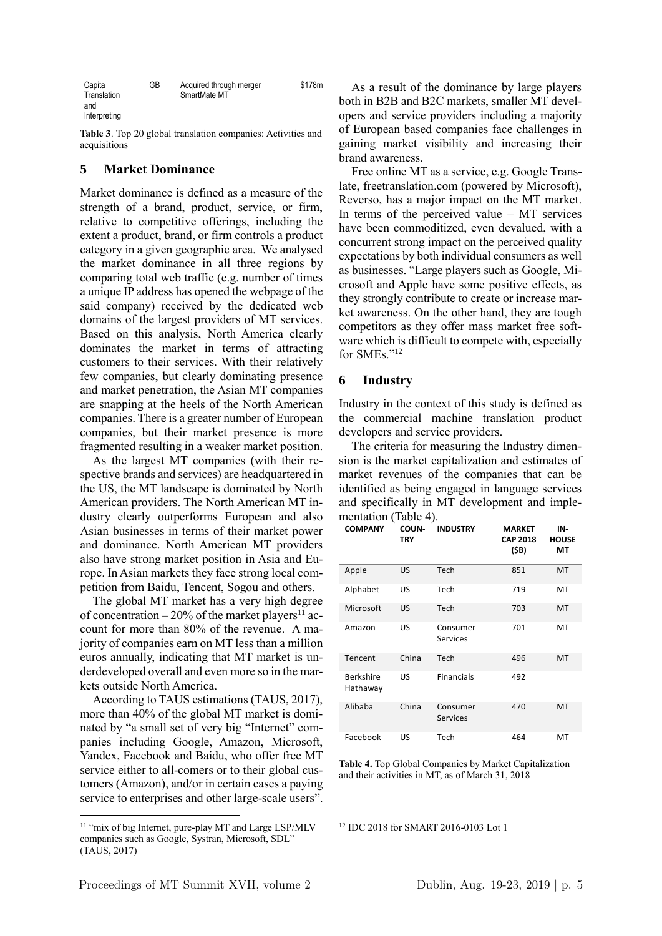| Capita       | GB | Acquired through merger | \$178m |
|--------------|----|-------------------------|--------|
| Translation  |    | SmartMate MT            |        |
| and          |    |                         |        |
| Interpreting |    |                         |        |

**Table 3**. Top 20 global translation companies: Activities and acquisitions

## **5 Market Dominance**

Market dominance is defined as a measure of the strength of a brand, product, service, or firm, relative to competitive offerings, including the extent a product, brand, or firm controls a product category in a given geographic area. We analysed the market dominance in all three regions by comparing total web traffic (e.g. number of times a unique IP address has opened the webpage of the said company) received by the dedicated web domains of the largest providers of MT services. Based on this analysis, North America clearly dominates the market in terms of attracting customers to their services. With their relatively few companies, but clearly dominating presence and market penetration, the Asian MT companies are snapping at the heels of the North American companies. There is a greater number of European companies, but their market presence is more fragmented resulting in a weaker market position.

As the largest MT companies (with their respective brands and services) are headquartered in the US, the MT landscape is dominated by North American providers. The North American MT industry clearly outperforms European and also Asian businesses in terms of their market power and dominance. North American MT providers also have strong market position in Asia and Europe. In Asian markets they face strong local competition from Baidu, Tencent, Sogou and others.

The global MT market has a very high degree of concentration – 20% of the market players<sup>11</sup> account for more than 80% of the revenue. A majority of companies earn on MT less than a million euros annually, indicating that MT market is underdeveloped overall and even more so in the markets outside North America.

According to TAUS estimations (TAUS, 2017), more than 40% of the global MT market is dominated by "a small set of very big "Internet" companies including Google, Amazon, Microsoft, Yandex, Facebook and Baidu, who offer free MT service either to all-comers or to their global customers (Amazon), and/or in certain cases a paying service to enterprises and other large-scale users".

1

As a result of the dominance by large players both in B2B and B2C markets, smaller MT developers and service providers including a majority of European based companies face challenges in gaining market visibility and increasing their brand awareness.

Free online MT as a service, e.g. Google Translate, freetranslation.com (powered by Microsoft), Reverso, has a major impact on the MT market. In terms of the perceived value  $-$  MT services have been commoditized, even devalued, with a concurrent strong impact on the perceived quality expectations by both individual consumers as well as businesses. "Large players such as Google, Microsoft and Apple have some positive effects, as they strongly contribute to create or increase market awareness. On the other hand, they are tough competitors as they offer mass market free software which is difficult to compete with, especially for SMEs."<sup>12</sup>

#### **6 Industry**

Industry in the context of this study is defined as the commercial machine translation product developers and service providers.

The criteria for measuring the Industry dimension is the market capitalization and estimates of market revenues of the companies that can be identified as being engaged in language services and specifically in MT development and implementation (Table 4).

| <b>COMPANY</b>               | COUN-<br><b>TRY</b> | <b>INDUSTRY</b>             | <b>MARKET</b><br><b>CAP 2018</b><br>(\$B) | IN-<br><b>HOUSE</b><br>MT |
|------------------------------|---------------------|-----------------------------|-------------------------------------------|---------------------------|
| Apple                        | US                  | Tech                        | 851                                       | MT                        |
| Alphabet                     | US                  | Tech                        | 719                                       | MT                        |
| Microsoft                    | US                  | Tech                        | 703                                       | MT                        |
| Amazon                       | US                  | Consumer<br>Services        | 701                                       | MT                        |
| Tencent                      | China               | Tech                        | 496                                       | MT                        |
| <b>Berkshire</b><br>Hathaway | US                  | <b>Financials</b>           | 492                                       |                           |
| Alibaba                      | China               | Consumer<br><b>Services</b> | 470                                       | MT                        |
| Facebook                     | US                  | Tech                        | 464                                       | MT                        |

**Table 4.** Top Global Companies by Market Capitalization and their activities in MT, as of March 31, 2018

<sup>12</sup> IDC 2018 for SMART 2016-0103 Lot 1

<sup>&</sup>lt;sup>11</sup> "mix of big Internet, pure-play MT and Large LSP/MLV companies such as Google, Systran, Microsoft, SDL" (TAUS, 2017)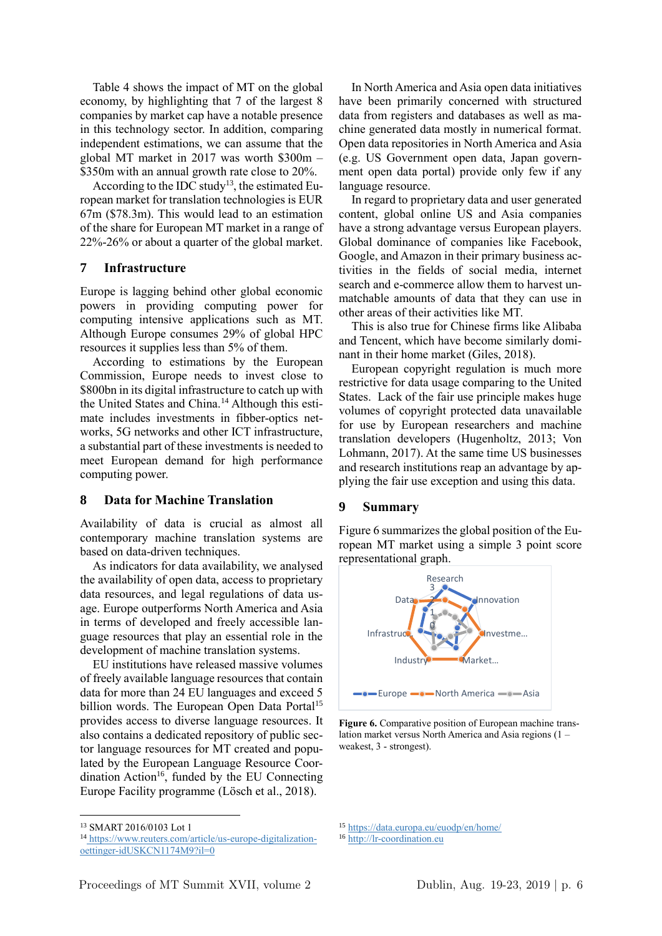Table 4 shows the impact of MT on the global economy, by highlighting that 7 of the largest 8 companies by market cap have a notable presence in this technology sector. In addition, comparing independent estimations, we can assume that the global MT market in 2017 was worth \$300m – \$350m with an annual growth rate close to 20%.

According to the IDC study<sup>13</sup>, the estimated European market for translation technologies is EUR 67m (\$78.3m). This would lead to an estimation of the share for European MT market in a range of 22%-26% or about a quarter of the global market.

## **7 Infrastructure**

Europe is lagging behind other global economic powers in providing computing power for computing intensive applications such as MT. Although Europe consumes 29% of global HPC resources it supplies less than 5% of them.

According to estimations by the European Commission, Europe needs to invest close to \$800bn in its digital infrastructure to catch up with the United States and China.<sup>14</sup> Although this estimate includes investments in fibber-optics networks, 5G networks and other ICT infrastructure, a substantial part of these investments is needed to meet European demand for high performance computing power.

## **8 Data for Machine Translation**

Availability of data is crucial as almost all contemporary machine translation systems are based on data-driven techniques.

As indicators for data availability, we analysed the availability of open data, access to proprietary data resources, and legal regulations of data usage. Europe outperforms North America and Asia in terms of developed and freely accessible language resources that play an essential role in the development of machine translation systems.

EU institutions have released massive volumes of freely available language resources that contain data for more than 24 EU languages and exceed 5 billion words. The European Open Data Portal<sup>15</sup> provides access to diverse language resources. It also contains a dedicated repository of public sector language resources for MT created and populated by the European Language Resource Coordination Action<sup>16</sup>, funded by the EU Connecting Europe Facility programme (Lösch et al., 2018).

1

In North America and Asia open data initiatives have been primarily concerned with structured data from registers and databases as well as machine generated data mostly in numerical format. Open data repositories in North America and Asia (e.g. US Government open data, Japan government open data portal) provide only few if any language resource.

In regard to proprietary data and user generated content, global online US and Asia companies have a strong advantage versus European players. Global dominance of companies like Facebook, Google, and Amazon in their primary business activities in the fields of social media, internet search and e-commerce allow them to harvest unmatchable amounts of data that they can use in other areas of their activities like MT.

This is also true for Chinese firms like Alibaba and Tencent, which have become similarly dominant in their home market (Giles, 2018).

European copyright regulation is much more restrictive for data usage comparing to the United States. Lack of the fair use principle makes huge volumes of copyright protected data unavailable for use by European researchers and machine translation developers (Hugenholtz, 2013; Von Lohmann, 2017). At the same time US businesses and research institutions reap an advantage by applying the fair use exception and using this data.

#### **9 Summary**

Figure 6 summarizes the global position of the European MT market using a simple 3 point score representational graph.



**Figure 6.** Comparative position of European machine translation market versus North America and Asia regions (1 – weakest, 3 - strongest).

<sup>15</sup> https://data.europa.eu/euodp/en/home/

<sup>13</sup> SMART 2016/0103 Lot 1

<sup>14</sup> https://www.reuters.com/article/us-europe-digitalizationoettinger-idUSKCN1174M9?il=0

<sup>16</sup> http://lr-coordination.eu